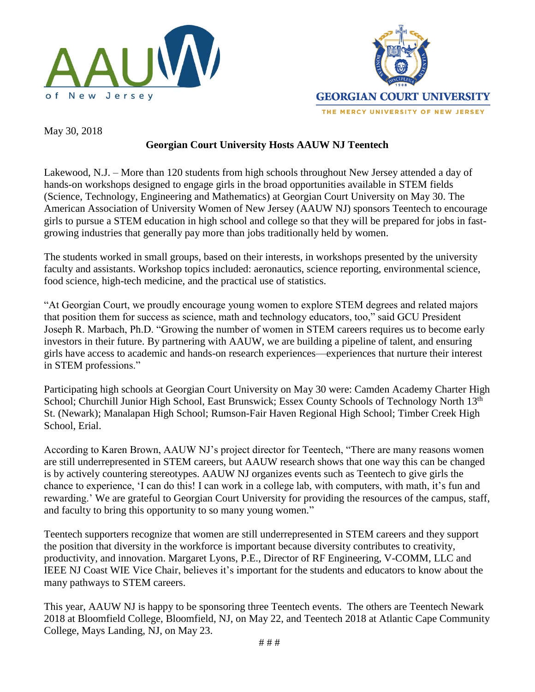



May 30, 2018

## **Georgian Court University Hosts AAUW NJ Teentech**

Lakewood, N.J. – More than 120 students from high schools throughout New Jersey attended a day of hands-on workshops designed to engage girls in the broad opportunities available in STEM fields (Science, Technology, Engineering and Mathematics) at Georgian Court University on May 30. The American Association of University Women of New Jersey (AAUW NJ) sponsors Teentech to encourage girls to pursue a STEM education in high school and college so that they will be prepared for jobs in fastgrowing industries that generally pay more than jobs traditionally held by women.

The students worked in small groups, based on their interests, in workshops presented by the university faculty and assistants. Workshop topics included: aeronautics, science reporting, environmental science, food science, high-tech medicine, and the practical use of statistics.

"At Georgian Court, we proudly encourage young women to explore STEM degrees and related majors that position them for success as science, math and technology educators, too," said GCU President Joseph R. Marbach, Ph.D. "Growing the number of women in STEM careers requires us to become early investors in their future. By partnering with AAUW, we are building a pipeline of talent, and ensuring girls have access to academic and hands-on research experiences—experiences that nurture their interest in STEM professions."

Participating high schools at Georgian Court University on May 30 were: Camden Academy Charter High School; Churchill Junior High School, East Brunswick; Essex County Schools of Technology North 13<sup>th</sup> St. (Newark); Manalapan High School; Rumson-Fair Haven Regional High School; Timber Creek High School, Erial.

According to Karen Brown, AAUW NJ's project director for Teentech, "There are many reasons women are still underrepresented in STEM careers, but AAUW research shows that one way this can be changed is by actively countering stereotypes. AAUW NJ organizes events such as Teentech to give girls the chance to experience, 'I can do this! I can work in a college lab, with computers, with math, it's fun and rewarding.' We are grateful to Georgian Court University for providing the resources of the campus, staff, and faculty to bring this opportunity to so many young women."

Teentech supporters recognize that women are still underrepresented in STEM careers and they support the position that diversity in the workforce is important because diversity contributes to creativity, productivity, and innovation. Margaret Lyons, P.E., Director of RF Engineering, V-COMM, LLC and IEEE NJ Coast WIE Vice Chair, believes it's important for the students and educators to know about the many pathways to STEM careers.

This year, AAUW NJ is happy to be sponsoring three Teentech events. The others are Teentech Newark 2018 at Bloomfield College, Bloomfield, NJ, on May 22, and Teentech 2018 at Atlantic Cape Community College, Mays Landing, NJ, on May 23.